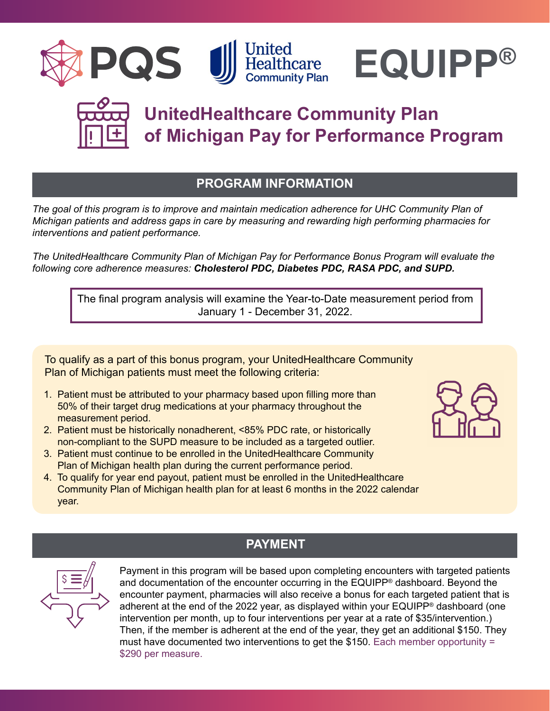





# **UnitedHealthcare Community Plan of Michigan Pay for Performance Program**

# **PROGRAM INFORMATION**

*The goal of this program is to improve and maintain medication adherence for UHC Community Plan of Michigan patients and address gaps in care by measuring and rewarding high performing pharmacies for interventions and patient performance.*

*The UnitedHealthcare Community Plan of Michigan Pay for Performance Bonus Program will evaluate the following core adherence measures: Cholesterol PDC, Diabetes PDC, RASA PDC, and SUPD.*

The final program analysis will examine the Year-to-Date measurement period from January 1 - December 31, 2022.

To qualify as a part of this bonus program, your UnitedHealthcare Community Plan of Michigan patients must meet the following criteria:

- 1. Patient must be attributed to your pharmacy based upon filling more than 50% of their target drug medications at your pharmacy throughout the measurement period.
- 2. Patient must be historically nonadherent, <85% PDC rate, or historically non-compliant to the SUPD measure to be included as a targeted outlier.
- 3. Patient must continue to be enrolled in the UnitedHealthcare Community Plan of Michigan health plan during the current performance period.
- 4. To qualify for year end payout, patient must be enrolled in the UnitedHealthcare Community Plan of Michigan health plan for at least 6 months in the 2022 calendar year.





# **PAYMENT**

Payment in this program will be based upon completing encounters with targeted patients and documentation of the encounter occurring in the EQUIPP® dashboard. Beyond the encounter payment, pharmacies will also receive a bonus for each targeted patient that is adherent at the end of the 2022 year, as displayed within your EQUIPP<sup>®</sup> dashboard (one intervention per month, up to four interventions per year at a rate of \$35/intervention.) Then, if the member is adherent at the end of the year, they get an additional \$150. They must have documented two interventions to get the \$150. Each member opportunity = \$290 per measure.